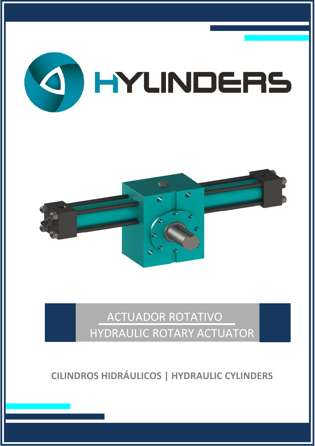



# ACTUADOR ROTATIVO HYDRAULIC ROTARY ACTUATOR

**CILINDROS HIDRÁULICOS | HYDRAULIC CYLINDERS**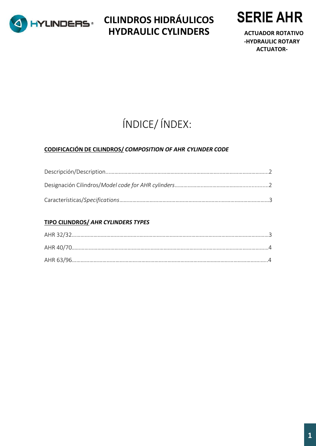

**CILINDROS HIDRÁULICOS HYDRAULIC CYLINDERS**



 **ACTUADOR ROTATIVO -HYDRAULIC ROTARY ACTUATOR-**

# ÍNDICE/ ÍNDEX:

#### **CODIFICACIÓN DE CILINDROS/** *COMPOSITION OF AHR CYLINDER CODE*

#### **TIPO CILINDROS/** *AHR CYLINDERS TYPES*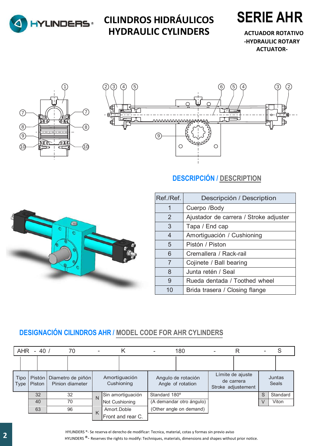

### **CILINDROS HIDRÁULICOS HYDRAULIC CYLINDERS**



 **ACTUADOR ROTATIVO -HYDRAULIC ROTARY ACTUATOR-**





### **DESCRIPCIÓN / DESCRIPTION**



| Ref./Ref. | Descripción / Description              |
|-----------|----------------------------------------|
| 1         | Cuerpo /Body                           |
| 2         | Ajustador de carrera / Stroke adjuster |
| 3         | Tapa / End cap                         |
| 4         | Amortiguación / Cushioning             |
| 5         | Pistón / Piston                        |
| 6         | Cremallera / Rack-rail                 |
| 7         | Cojinete / Ball bearing                |
| 8         | Junta retén / Seal                     |
| 9         | Rueda dentada / Toothed wheel          |
| 10        | Brida trasera / Closing flange         |

### **DESIGNACIÓN CILINDROS AHR / MODEL CODE FOR AHR CYLINDERS**

|                     | AHR - 40 / |                | 70                                              |   | κ                           | ۰                       | 180                                     | ٠ | R                                                    |   |                        |
|---------------------|------------|----------------|-------------------------------------------------|---|-----------------------------|-------------------------|-----------------------------------------|---|------------------------------------------------------|---|------------------------|
|                     |            |                |                                                 |   |                             |                         |                                         |   |                                                      |   |                        |
| Tipo<br><b>Type</b> | Piston     |                | Pistón   Diametro de piñón  <br>Pinion diameter |   | Amortiguación<br>Cushioning |                         | Angulo de rotación<br>Angle of rotation |   | Límite de ajuste<br>de carrera<br>Stroke adjustement |   | Juntas<br><b>Seals</b> |
|                     | 32         | 32<br>40<br>70 |                                                 | N | Sin amortiguación           | Standard 180°           |                                         |   |                                                      | S | Standard               |
|                     |            |                |                                                 |   | Not Cushioning              |                         | (A demandar otro ángulo)                |   |                                                      | V | Viton                  |
|                     | 63         |                | 96                                              | K | Amort.Doble                 | (Other angle on demand) |                                         |   |                                                      |   |                        |
|                     |            |                |                                                 |   | Front and rear C.           |                         |                                         |   |                                                      |   |                        |

HYLINDERS ®- Se reserva el derecho de modificar: Tecnica, material, cotas y formas sin previo aviso HYLINDERS<sup>®</sup>- Reserves the rights to modify: Techniques, materials, dimensions and shapes without prior notice.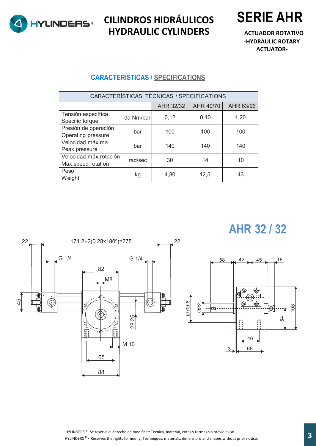

**CILINDROS HIDRÁULICOS HYDRAULIC CYLINDERS**



 **ACTUADOR ROTATIVO -HYDRAULIC ROTARY ACTUATOR-**

#### **CARACTERÍSTICAS / SPECIFICATIONS**

| CARACTERÍSTICAS TÉCNICAS / SPECIFICATIONS |           |           |           |           |  |  |
|-------------------------------------------|-----------|-----------|-----------|-----------|--|--|
|                                           |           | AHR 32/32 | AHR 40/70 | AHR 63/96 |  |  |
| Tensión específica                        | da Nm/bar | 0,12      | 0,40      | 1,20      |  |  |
| Specific torque                           |           |           |           |           |  |  |
| Presión de operación                      | bar       | 100       | 100       | 100       |  |  |
| Operating pressure                        |           |           |           |           |  |  |
| Velocidad máxima                          | bar       | 140       | 140       | 140       |  |  |
| Peak pressure                             |           |           |           |           |  |  |
| Velocidad máx.rotación                    | rad/sec   | 30        | 14        | 10        |  |  |
| Max.speed rotation                        |           |           |           |           |  |  |
| Peso                                      |           |           | 12,5      | 43        |  |  |
| Weight                                    | kg        | 4,80      |           |           |  |  |

# **AHR 32 / 32**



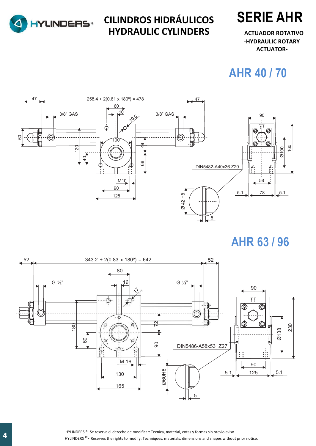

**CILINDROS HIDRÁULICOS HYDRAULIC CYLINDERS**



 **ACTUADOR ROTATIVO -HYDRAULIC ROTARY ACTUATOR-**

## **AHR 40 / 70**



## **AHR 63 / 96**



**4.** HYLINDERS ®- Se reserva el derecho de modificar: Tecnica, material, cotas y formas sin previo aviso en techniques, material, cotas y formas sin previo aviso en techniques, materials, dimensions and shapes without prio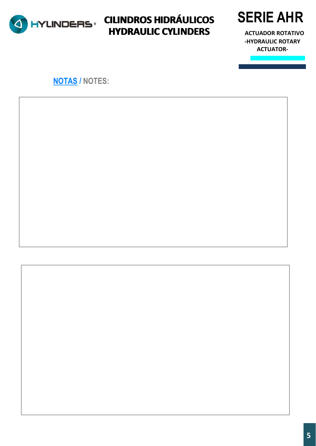

### **CILINDROS HIDRÁULICOS CILINDROS HIDRÁULICOS HYDRAULIC CYLINDERS HYDRAULIC CYLINDERS**



 **ACTUADOR ROTATIVO -HYDRAULIC ROTARY ACTUATOR-**

### **NOTAS / NOTES:**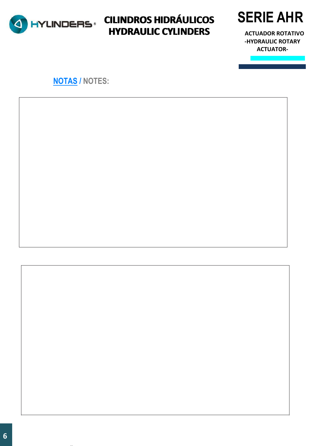

### **CILINDROS HIDRÁULICOS CILINDROS HIDRÁULICOS HYDRAULIC CYLINDERS HYDRAULIC CYLINDERS**



 **ACTUADOR ROTATIVO -HYDRAULIC ROTARY ACTUATOR-**

### **NOTAS / NOTES:**

notice. The contract of the contract of the contract of the contract of the contract of the contract of the contract of the contract of the contract of the contract of the contract of the contract of the contract of the co